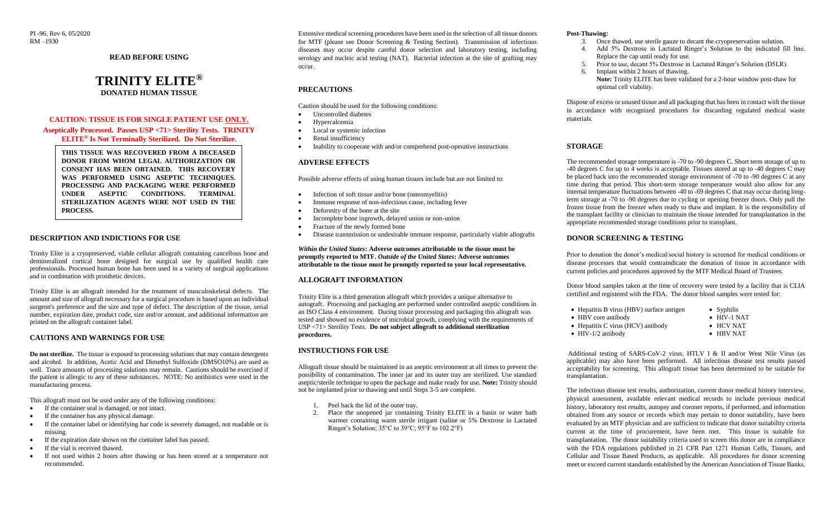PI -96, Rev 6, 05/2020 RM –1930

**READ BEFORE USING**

# **TRINITY ELITE® DONATED HUMAN TISSUE**

# **CAUTION: TISSUE IS FOR SINGLE PATIENT USE ONLY.**

#### **Aseptically Processed. Passes USP <71> Sterility Tests. TRINITY ELITE® Is Not Terminally Sterilized. Do Not Sterilize.**

**THIS TISSUE WAS RECOVERED FROM A DECEASED DONOR FROM WHOM LEGAL AUTHORIZATION OR CONSENT HAS BEEN OBTAINED. THIS RECOVERY WAS PERFORMED USING ASEPTIC TECHNIQUES. PROCESSING AND PACKAGING WERE PERFORMED UNDER ASEPTIC CONDITIONS. TERMINAL STERILIZATION AGENTS WERE NOT USED IN THE PROCESS.**

#### **DESCRIPTION AND INDICTIONS FOR USE**

Trinity Elite is a cryopreserved, viable cellular allograft containing cancellous bone and demineralized cortical bone designed for surgical use by qualified health care professionals. Processed human bone has been used in a variety of surgical applications and in combination with prosthetic devices.

Trinity Elite is an allograft intended for the treatment of musculoskeletal defects. The amount and size of allograft necessary for a surgical procedure is based upon an individual surgeon's preference and the size and type of defect. The description of the tissue, serial number, expiration date, product code, size and/or amount, and additional information are printed on the allograft container label.

#### **CAUTIONS AND WARNINGS FOR USE**

**Do not sterilize.** The tissue is exposed to processing solutions that may contain detergents and alcohol. In addition, Acetic Acid and Dimethyl Sulfoxide (DMSO10%) are used as well. Trace amounts of processing solutions may remain. Cautions should be exercised if the patient is allergic to any of these substances. NOTE: No antibiotics were used in the manufacturing process.

This allograft must not be used under any of the following conditions:

- If the container seal is damaged, or not intact.
- If the container has any physical damage.
- If the container label or identifying bar code is severely damaged, not readable or is missing.
- If the expiration date shown on the container label has passed.
- If the vial is received thawed.
- If not used within 2 hours after thawing or has been stored at a temperature not recommended.

Extensive medical screening procedures have been used in the selection of all tissue donors for MTF (please see Donor Screening & Testing Section). Transmission of infectious diseases may occur despite careful donor selection and laboratory testing, including serology and nucleic acid testing (NAT). Bacterial infection at the site of grafting may occur.

# **PRECAUTIONS**

Caution should be used for the following conditions:

- Uncontrolled diabetes
- Hypercalcemia
- Local or systemic infection
- Renal insufficiency
- Inability to cooperate with and/or comprehend post-operative instructions

#### **ADVERSE EFFECTS**

Possible adverse effects of using human tissues include but are not limited to:

- Infection of soft tissue and/or bone (osteomyelitis)
- Immune response of non-infectious cause, including fever
- Deformity of the bone at the site
- Incomplete bone ingrowth, delayed union or non-union
- Fracture of the newly formed bone
- Disease transmission or undesirable immune response, particularly viable allografts

*Within the United States***: Adverse outcomes attributable to the tissue must be promptly reported to MTF.** *Outside of the United States***: Adverse outcomes attributable to the tissue must be promptly reported to your local representative.**

#### **ALLOGRAFT INFORMATION**

Trinity Elite is a third generation allograft which provides a unique alternative to autograft. Processing and packaging are performed under controlled aseptic conditions in an ISO Class 4 environment. During tissue processing and packaging this allograft was tested and showed no evidence of microbial growth, complying with the requirements of USP <71> Sterility Tests. **Do not subject allograft to additional sterilization procedures.**

# **INSTRUCTIONS FOR USE**

Allograft tissue should be maintained in an aseptic environment at all times to prevent the possibility of contamination. The inner jar and its outer tray are sterilized. Use standard aseptic/sterile technique to open the package and make ready for use. **Note:** Trinity should not be implanted prior to thawing and until Steps 3-5 are complete.

- 1. Peel back the lid of the outer tray.
- Place the unopened jar containing Trinity ELITE in a basin or water bath warmer containing warm sterile irrigant (saline or 5% Dextrose in Lactated Ringer's Solution; 35°C to 39°C; 95°F to 102.2°F)

#### **Post-Thawing:**

- 3. Once thawed, use sterile gauze to decant the cryopreservation solution.
- 4. Add 5% Dextrose in Lactated Ringer's Solution to the indicated fill line. Replace the cap until ready for use.
- 5. Prior to use, decant 5% Dextrose in Lactated Ringer's Solution (D5LR).
	- 6. Implant within 2 hours of thawing.
	- **Note:** Trinity ELITE has been validated for a 2-hour window post-thaw for optimal cell viability.

Dispose of excess or unused tissue and all packaging that has been in contact with the tissue in accordance with recognized procedures for discarding regulated medical waste materials.

# **STORAGE**

The recommended storage temperature is -70 to -90 degrees C. Short term storage of up to -40 degrees C for up to 4 weeks is acceptable. Tissues stored at up to -40 degrees C may be placed back into the recommended storage environment of -70 to -90 degrees C at any time during that period. This short-term storage temperature would also allow for any internal temperature fluctuations between -40 to -69 degrees C that may occur during longterm storage at -70 to -90 degrees due to cycling or opening freezer doors. Only pull the frozen tissue from the freezer when ready to thaw and implant. It is the responsibility of the transplant facility or clinician to maintain the tissue intended for transplantation in the appropriate recommended storage conditions prior to transplant.

#### **DONOR SCREENING & TESTING**

Prior to donation the donor's medical/social history is screened for medical conditions or disease processes that would contraindicate the donation of tissue in accordance with current policies and procedures approved by the MTF Medical Board of Trustees.

Donor blood samples taken at the time of recovery were tested by a facility that is CLIA certified and registered with the FDA. The donor blood samples were tested for:

| • Hepatitis B virus (HBV) surface antigen | $\bullet$ Syphilis  |
|-------------------------------------------|---------------------|
| • HBV core antibody                       | $\bullet$ HIV-1 NAT |
| • Hepatitis C virus (HCV) antibody        | $\bullet$ HCV NAT   |
|                                           |                     |

- HIV-1/2 antibody HBV NAT
	-

Additional testing of SARS-CoV-2 virus, HTLV I & II and/or West Nile Virus (as applicable) may also have been performed. All infectious disease test results passed acceptability for screening. This allograft tissue has been determined to be suitable for transplantation.

The infectious disease test results, authorization, current donor medical history interview, physical assessment, available relevant medical records to include previous medical history, laboratory test results, autopsy and coroner reports, if performed, and information obtained from any source or records which may pertain to donor suitability, have been evaluated by an MTF physician and are sufficient to indicate that donor suitability criteria current at the time of procurement, have been met. This tissue is suitable for transplantation. The donor suitability criteria used to screen this donor are in compliance with the FDA regulations published in 21 CFR Part 1271 Human Cells, Tissues, and Cellular and Tissue Based Products, as applicable. All procedures for donor screening meet or exceed current standards established by the American Association of Tissue Banks.